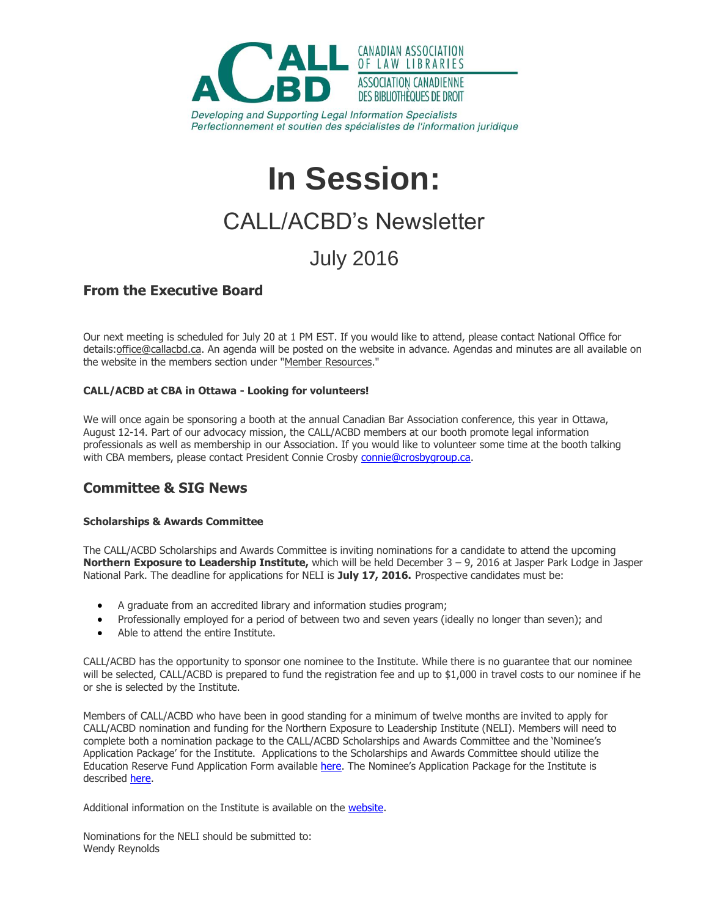

Developing and Supporting Legal Information Specialists Perfectionnement et soutien des spécialistes de l'information juridique

# **In Session:**

# CALL/ACBD's Newsletter

## July 2016

### **From the Executive Board**

Our next meeting is scheduled for July 20 at 1 PM EST. If you would like to attend, please contact National Office for details: office@callacbd.ca. An agenda will be posted on the website in advance. Agendas and minutes are all available on the website in the members section under ["Member Resources.](http://www.callacbd.ca/Memberresources)"

#### **CALL/ACBD at CBA in Ottawa - Looking for volunteers!**

We will once again be sponsoring a booth at the annual Canadian Bar Association conference, this year in Ottawa, August 12-14. Part of our advocacy mission, the CALL/ACBD members at our booth promote legal information professionals as well as membership in our Association. If you would like to volunteer some time at the booth talking with CBA members, please contact President Connie Crosby [connie@crosbygroup.ca.](mailto:connie@crosbygroup.ca)

### **Committee & SIG News**

#### **Scholarships & Awards Committee**

The CALL/ACBD Scholarships and Awards Committee is inviting nominations for a candidate to attend the upcoming **Northern Exposure to Leadership Institute,** which will be held December 3 – 9, 2016 at Jasper Park Lodge in Jasper National Park. The deadline for applications for NELI is **July 17, 2016.** Prospective candidates must be:

- A graduate from an accredited library and information studies program;
- Professionally employed for a period of between two and seven years (ideally no longer than seven); and
- Able to attend the entire Institute.

CALL/ACBD has the opportunity to sponsor one nominee to the Institute. While there is no guarantee that our nominee will be selected, CALL/ACBD is prepared to fund the registration fee and up to \$1,000 in travel costs to our nominee if he or she is selected by the Institute.

Members of CALL/ACBD who have been in good standing for a minimum of twelve months are invited to apply for CALL/ACBD nomination and funding for the Northern Exposure to Leadership Institute (NELI). Members will need to complete both a nomination package to the CALL/ACBD Scholarships and Awards Committee and the 'Nominee's Application Package' for the Institute. Applications to the Scholarships and Awards Committee should utilize the Education Reserve Fund Application Form available [here](http://www.callacbd.ca/resources/Documents/Awards/EDUCATION%20RESERVE%20FUND1.pdf). The Nominee's Application Package for the Institute is described [here.](http://northernexposuretoleadership.ca/criteria.html)

Additional information on the Institute is available on the [website.](http://northernexposuretoleadership.ca/index.html)

Nominations for the NELI should be submitted to: Wendy Reynolds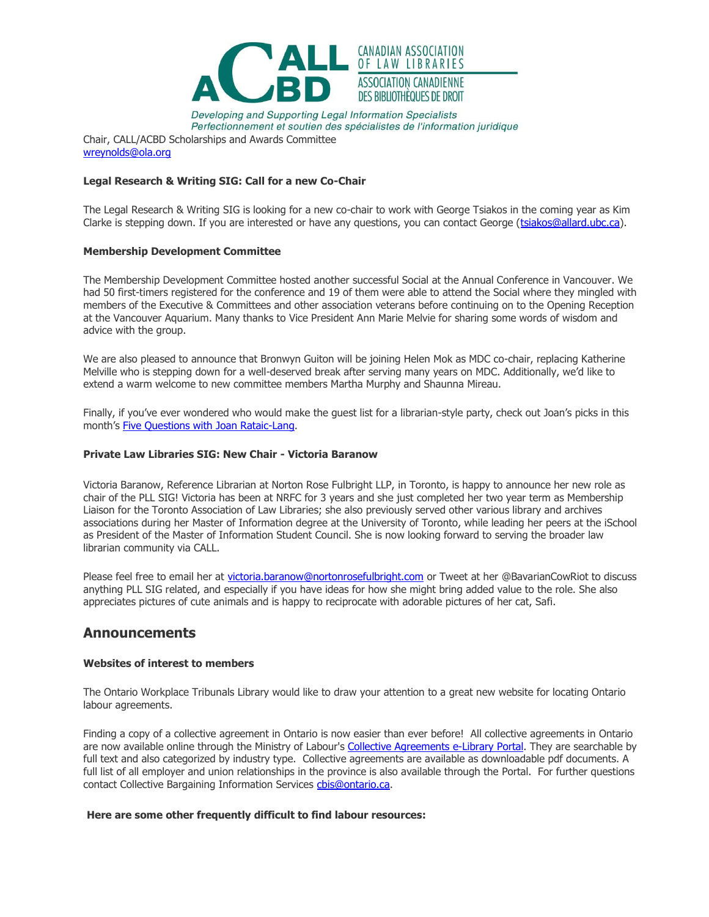

Developing and Supporting Legal Information Specialists Perfectionnement et soutien des spécialistes de l'information juridique

Chair, CALL/ACBD Scholarships and Awards Committee [wreynolds@ola.org](mailto:wreynolds@ola.org)

#### **Legal Research & Writing SIG: Call for a new Co-Chair**

The Legal Research & Writing SIG is looking for a new co-chair to work with George Tsiakos in the coming year as Kim Clarke is stepping down. If you are interested or have any questions, you can contact George [\(tsiakos@allard.ubc.ca\)](mailto:tsiakos@allard.ubc.ca).

#### **Membership Development Committee**

The Membership Development Committee hosted another successful Social at the Annual Conference in Vancouver. We had 50 first-timers registered for the conference and 19 of them were able to attend the Social where they mingled with members of the Executive & Committees and other association veterans before continuing on to the Opening Reception at the Vancouver Aquarium. Many thanks to Vice President Ann Marie Melvie for sharing some words of wisdom and advice with the group.

We are also pleased to announce that Bronwyn Guiton will be joining Helen Mok as MDC co-chair, replacing Katherine Melville who is stepping down for a well-deserved break after serving many years on MDC. Additionally, we'd like to extend a warm welcome to new committee members Martha Murphy and Shaunna Mireau.

Finally, if you've ever wondered who would make the guest list for a librarian-style party, check out Joan's picks in this month's [Five Questions with Joan Rataic-Lang.](http://www.callacbd.ca/CALL-Blog/4081437)

#### **Private Law Libraries SIG: New Chair - Victoria Baranow**

Victoria Baranow, Reference Librarian at Norton Rose Fulbright LLP, in Toronto, is happy to announce her new role as chair of the PLL SIG! Victoria has been at NRFC for 3 years and she just completed her two year term as Membership Liaison for the Toronto Association of Law Libraries; she also previously served other various library and archives associations during her Master of Information degree at the University of Toronto, while leading her peers at the iSchool as President of the Master of Information Student Council. She is now looking forward to serving the broader law librarian community via CALL.

Please feel free to email her at [victoria.baranow@nortonrosefulbright.com](mailto:victoria.baranow@nortonrosefulbright.com) or Tweet at her @BavarianCowRiot to discuss anything PLL SIG related, and especially if you have ideas for how she might bring added value to the role. She also appreciates pictures of cute animals and is happy to reciprocate with adorable pictures of her cat, Safi.

#### **Announcements**

#### **Websites of interest to members**

The Ontario Workplace Tribunals Library would like to draw your attention to a great new website for locating Ontario labour agreements.

Finding a copy of a collective agreement in Ontario is now easier than ever before! All collective agreements in Ontario are now available online through the Ministry of Labour's [Collective Agreements e-Library Portal.](http://www.sdc.gov.on.ca/sites/mol/drs/ca/Pages/default_en.aspx) They are searchable by full text and also categorized by industry type. Collective agreements are available as downloadable pdf documents. A full list of all employer and union relationships in the province is also available through the Portal. For further questions contact Collective Bargaining Information Services chis@ontario.ca.

#### **Here are some other frequently difficult to find labour resources:**